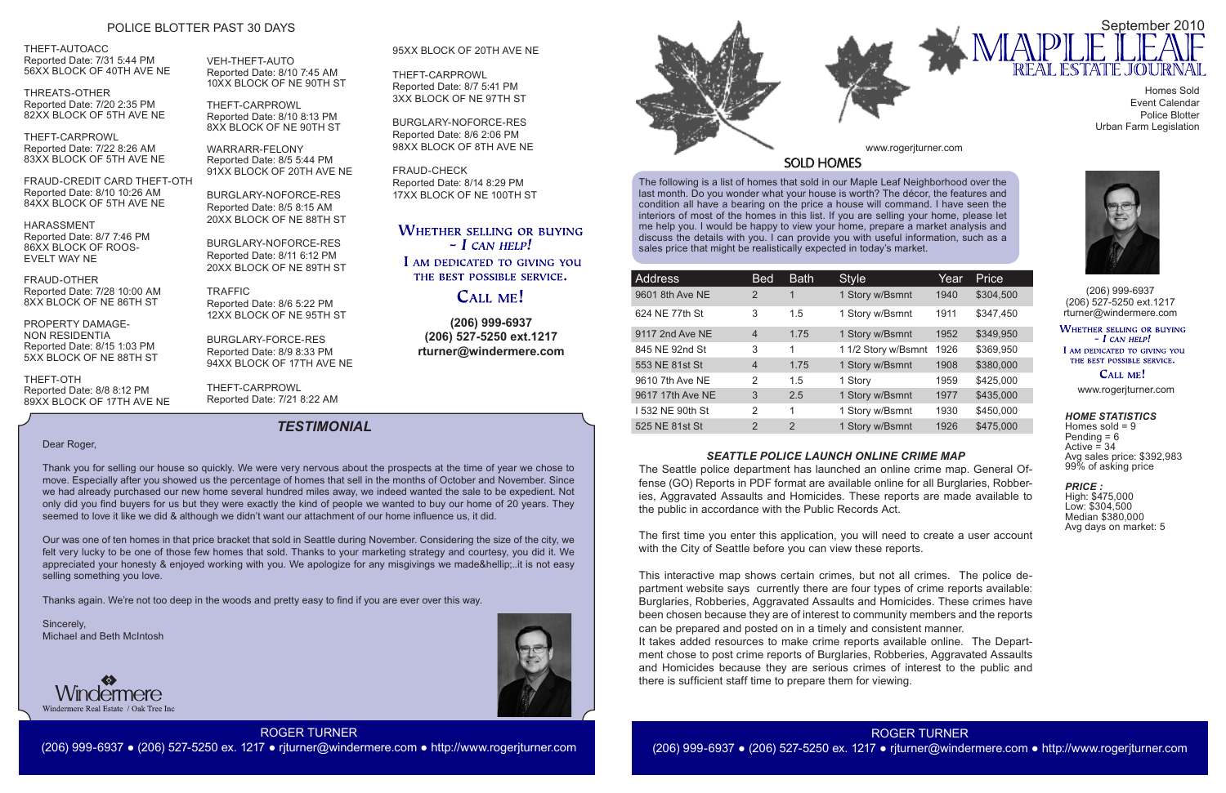The following is a list of homes that sold in our Maple Leaf Neighborhood over the last month. Do you wonder what your house is worth? The décor, the features and condition all have a bearing on the price a house will command. I have seen the interiors of most of the homes in this list. If you are selling your home, please let me help you. I would be happy to view your home, prepare a market analysis and discuss the details with you. I can provide you with useful information, such as a sales price that might be realistically expected in today's market.



**(206) 999-6937 (206) 527-5250 ext.1217 rturner@windermere.com**



Homes sold  $= 9$ Pending = 6 Active  $=$  34 Avg sales price: \$392,983 99% of asking price

| <b>Address</b>   | <b>Bed</b>     | <b>Bath</b> | <b>Style</b>        | Year | Price     |
|------------------|----------------|-------------|---------------------|------|-----------|
| 9601 8th Ave NE  | 2              | 1           | 1 Story w/Bsmnt     | 1940 | \$304,500 |
| 624 NE 77th St   | 3              | 1.5         | 1 Story w/Bsmnt     | 1911 | \$347,450 |
| 9117 2nd Ave NE  | $\overline{4}$ | 1.75        | 1 Story w/Bsmnt     | 1952 | \$349,950 |
| 845 NE 92nd St   | 3              | 1           | 1 1/2 Story w/Bsmnt | 1926 | \$369,950 |
| 553 NE 81st St   | $\overline{4}$ | 1.75        | 1 Story w/Bsmnt     | 1908 | \$380,000 |
| 9610 7th Ave NE  | 2              | 1.5         | 1 Story             | 1959 | \$425,000 |
| 9617 17th Ave NE | 3              | 2.5         | 1 Story w/Bsmnt     | 1977 | \$435,000 |
| I 532 NE 90th St | 2              | 1           | 1 Story w/Bsmnt     | 1930 | \$450,000 |
| 525 NE 81st St   | 2              | 2           | 1 Story w/Bsmnt     | 1926 | \$475,000 |

(206) 999-6937 (206) 527-5250 ext.1217 rturner@windermere.com

#### **WHETHER SELLING OR BUYING**  $-I$  CAN HELP!

I AM DEDICATED TO GIVING YOU THE BEST POSSIBLE SERVICE.

CALL ME!

# *TESTIMONIAL*

www.rogerjturner.com

#### www.rogerjturner.com



# ROGER TURNER (206) 999-6937 ● (206) 527-5250 ex. 1217 ● rjturner@windermere.com ● http://www.rogerjturner.com



Homes Sold Event Calendar Police Blotter Urban Farm Legislation

#### *HOME STATISTICS*

### *PRICE :*

High: \$475,000 Low: \$304,500 Median \$380,000 Avg days on market: 5

THEFT-AUTOACC Reported Date: 7/31 5:44 PM 56XX BLOCK OF 40TH AVE NE

THREATS-OTHER Reported Date: 7/20 2:35 PM 82XX BLOCK OF 5TH AVE NE

THEFT-CARPROWL Reported Date: 7/22 8:26 AM 83XX BLOCK OF 5TH AVE NE

FRAUD-CREDIT CARD THEFT-OTH Reported Date: 8/10 10:26 AM 84XX BLOCK OF 5TH AVE NE

HARASSMENT Reported Date: 8/7 7:46 PM 86XX BLOCK OF ROOS-EVELT WAY NE

FRAUD-OTHER Reported Date: 7/28 10:00 AM 8XX BLOCK OF NE 86TH ST

PROPERTY DAMAGE-NON RESIDENTIA Reported Date: 8/15 1:03 PM 5XX BLOCK OF NE 88TH ST

THEFT-OTH Reported Date: 8/8 8:12 PM 89XX BLOCK OF 17TH AVE NE VEH-THEFT-AUTO Reported Date: 8/10 7:45 AM 10XX BLOCK OF NE 90TH ST

THEFT-CARPROWL Reported Date: 8/10 8:13 PM 8XX BLOCK OF NE 90TH ST

WARRARR-FELONY Reported Date: 8/5 5:44 PM 91XX BLOCK OF 20TH AVE NE

BURGLARY-NOFORCE-RES Reported Date: 8/5 8:15 AM 20XX BLOCK OF NE 88TH ST

BURGLARY-NOFORCE-RES Reported Date: 8/11 6:12 PM 20XX BLOCK OF NE 89TH ST

TRAFFIC Reported Date: 8/6 5:22 PM 12XX BLOCK OF NE 95TH ST

BURGLARY-FORCE-RES Reported Date: 8/9 8:33 PM 94XX BLOCK OF 17TH AVE NE

THEFT-CARPROWL Reported Date: 7/21 8:22 AM

# POLICE BLOTTER PAST 30 DAYS

Dear Roger,

Thank you for selling our house so quickly. We were very nervous about the prospects at the time of year we chose to move. Especially after you showed us the percentage of homes that sell in the months of October and November. Since we had already purchased our new home several hundred miles away, we indeed wanted the sale to be expedient. Not only did you find buyers for us but they were exactly the kind of people we wanted to buy our home of 20 years. They seemed to love it like we did & although we didn't want our attachment of our home influence us, it did.

Our was one of ten homes in that price bracket that sold in Seattle during November. Considering the size of the city, we felt very lucky to be one of those few homes that sold. Thanks to your marketing strategy and courtesy, you did it. We appreciated your honesty & enjoyed working with you. We apologize for any misgivings we made&hellip:..it is not easy selling something you love.

Thanks again. We're not too deep in the woods and pretty easy to find if you are ever over this way.

Sincerely, Michael and Beth McIntosh



### *SEATTLE POLICE LAUNCH ONLINE CRIME MAP*

The Seattle police department has launched an online crime map. General Offense (GO) Reports in PDF format are available online for all Burglaries, Robberies, Aggravated Assaults and Homicides. These reports are made available to the public in accordance with the Public Records Act.

The first time you enter this application, you will need to create a user account with the City of Seattle before you can view these reports.

This interactive map shows certain crimes, but not all crimes. The police department website says currently there are four types of crime reports available: Burglaries, Robberies, Aggravated Assaults and Homicides. These crimes have been chosen because they are of interest to community members and the reports can be prepared and posted on in a timely and consistent manner. It takes added resources to make crime reports available online. The Department chose to post crime reports of Burglaries, Robberies, Aggravated Assaults and Homicides because they are serious crimes of interest to the public and there is sufficient staff time to prepare them for viewing.

### 95XX BLOCK OF 20TH AVE NE

THEFT-CARPROWL Reported Date: 8/7 5:41 PM 3XX BLOCK OF NE 97TH ST

BURGLARY-NOFORCE-RES Reported Date: 8/6 2:06 PM 98XX BLOCK OF 8TH AVE NE

FRAUD-CHECK Reported Date: 8/14 8:29 PM 17XX BLOCK OF NE 100TH ST

# **WHETHER SELLING OR BUYING**  $-$  *L* CAN HELP!

I AM DEDICATED TO GIVING YOU THE BEST POSSIBLE SERVICE.

# **CALL ME!**